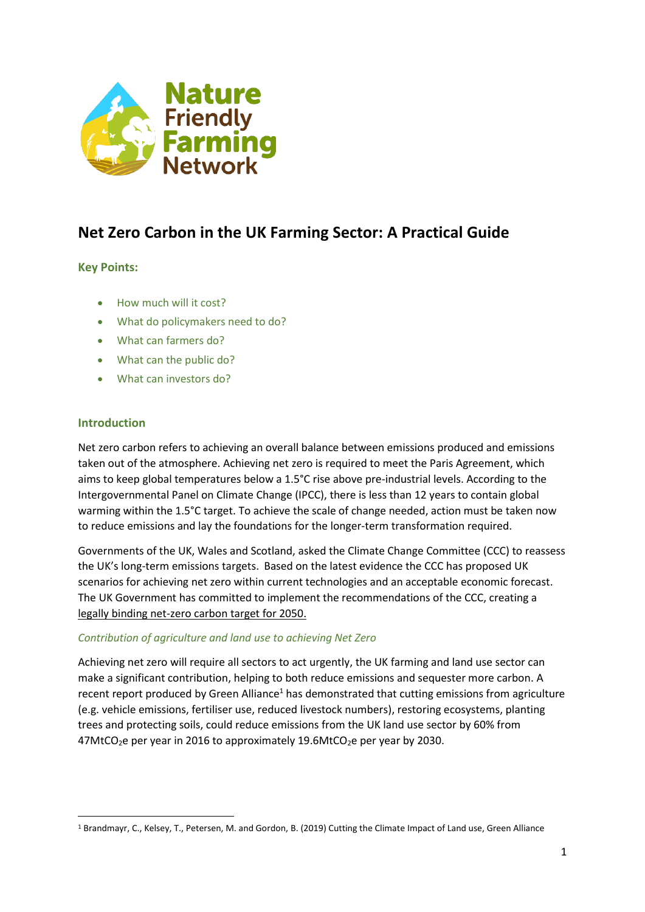

# **Net Zero Carbon in the UK Farming Sector: A Practical Guide**

# **Key Points:**

- How much will it cost?
- What do policymakers need to do?
- What can farmers do?
- What can the public do?
- What can investors do?

## **Introduction**

1

Net zero carbon refers to achieving an overall balance between emissions produced and emissions taken out of the atmosphere. Achieving net zero is required to meet the Paris Agreement, which aims to keep global temperatures below a 1.5°C rise above pre-industrial levels. According to the Intergovernmental Panel on Climate Change (IPCC), there is less than 12 years to contain global warming within the 1.5°C target. To achieve the scale of change needed, action must be taken now to reduce emissions and lay the foundations for the longer-term transformation required.

Governments of the UK, Wales and Scotland, asked the Climate Change Committee (CCC) to reassess the UK's long-term emissions targets. Based on the latest evidence the CCC has proposed UK scenarios for achieving net zero within current technologies and an acceptable economic forecast. The UK Government has committed to implement the recommendations of the CCC, creating a legally binding net-zero carbon target for 2050.

## *Contribution of agriculture and land use to achieving Net Zero*

Achieving net zero will require all sectors to act urgently, the UK farming and land use sector can make a significant contribution, helping to both reduce emissions and sequester more carbon. A recent report produced by Green Alliance<sup>1</sup> has demonstrated that cutting emissions from agriculture (e.g. vehicle emissions, fertiliser use, reduced livestock numbers), restoring ecosystems, planting trees and protecting soils, could reduce emissions from the UK land use sector by 60% from  $47$ MtCO<sub>2</sub>e per year in 2016 to approximately 19.6MtCO<sub>2</sub>e per year by 2030.

<sup>1</sup> Brandmayr, C., Kelsey, T., Petersen, M. and Gordon, B. (2019) Cutting the Climate Impact of Land use, Green Alliance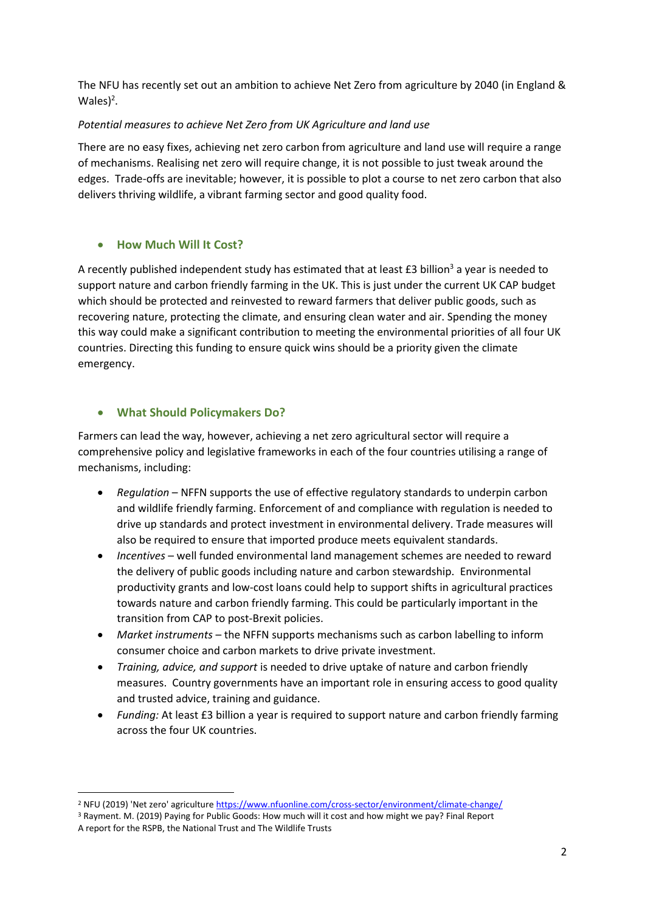The NFU has recently set out an ambition to achieve Net Zero from agriculture by 2040 (in England &  $Wales$ <sup>2</sup>.

# *Potential measures to achieve Net Zero from UK Agriculture and land use*

There are no easy fixes, achieving net zero carbon from agriculture and land use will require a range of mechanisms. Realising net zero will require change, it is not possible to just tweak around the edges. Trade-offs are inevitable; however, it is possible to plot a course to net zero carbon that also delivers thriving wildlife, a vibrant farming sector and good quality food.

# • **How Much Will It Cost?**

A recently published independent study has estimated that at least  $£3$  billion<sup>3</sup> a year is needed to support nature and carbon friendly farming in the UK. This is just under the current UK CAP budget which should be protected and reinvested to reward farmers that deliver public goods, such as recovering nature, protecting the climate, and ensuring clean water and air. Spending the money this way could make a significant contribution to meeting the environmental priorities of all four UK countries. Directing this funding to ensure quick wins should be a priority given the climate emergency.

# • **What Should Policymakers Do?**

**.** 

Farmers can lead the way, however, achieving a net zero agricultural sector will require a comprehensive policy and legislative frameworks in each of the four countries utilising a range of mechanisms, including:

- *Regulation* NFFN supports the use of effective regulatory standards to underpin carbon and wildlife friendly farming. Enforcement of and compliance with regulation is needed to drive up standards and protect investment in environmental delivery. Trade measures will also be required to ensure that imported produce meets equivalent standards.
- *Incentives* well funded environmental land management schemes are needed to reward the delivery of public goods including nature and carbon stewardship. Environmental productivity grants and low-cost loans could help to support shifts in agricultural practices towards nature and carbon friendly farming. This could be particularly important in the transition from CAP to post-Brexit policies.
- *Market instruments* the NFFN supports mechanisms such as carbon labelling to inform consumer choice and carbon markets to drive private investment.
- *Training, advice, and support* is needed to drive uptake of nature and carbon friendly measures. Country governments have an important role in ensuring access to good quality and trusted advice, training and guidance.
- *Funding:* At least £3 billion a year is required to support nature and carbon friendly farming across the four UK countries.

<sup>&</sup>lt;sup>2</sup> NFU (2019) 'Net zero' agricultur[e https://www.nfuonline.com/cross-sector/environment/climate-change/](https://www.nfuonline.com/cross-sector/environment/climate-change/)

<sup>3</sup> Rayment. M. (2019) Paying for Public Goods: How much will it cost and how might we pay? Final Report A report for the RSPB, the National Trust and The Wildlife Trusts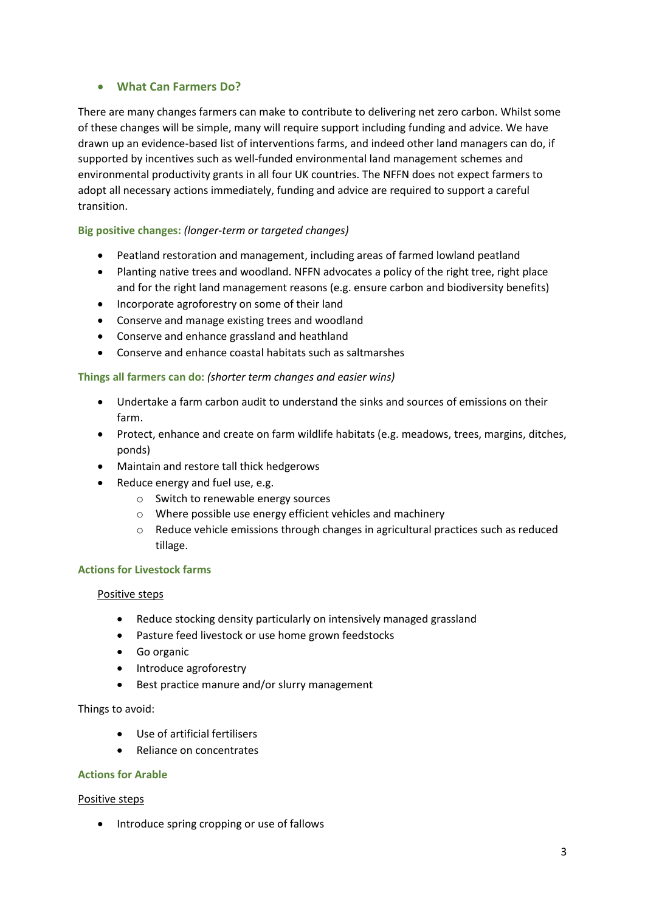# • **What Can Farmers Do?**

There are many changes farmers can make to contribute to delivering net zero carbon. Whilst some of these changes will be simple, many will require support including funding and advice. We have drawn up an evidence-based list of interventions farms, and indeed other land managers can do, if supported by incentives such as well-funded environmental land management schemes and environmental productivity grants in all four UK countries. The NFFN does not expect farmers to adopt all necessary actions immediately, funding and advice are required to support a careful transition.

## **Big positive changes:** *(longer-term or targeted changes)*

- Peatland restoration and management, including areas of farmed lowland peatland
- Planting native trees and woodland. NFFN advocates a policy of the right tree, right place and for the right land management reasons (e.g. ensure carbon and biodiversity benefits)
- Incorporate agroforestry on some of their land
- Conserve and manage existing trees and woodland
- Conserve and enhance grassland and heathland
- Conserve and enhance coastal habitats such as saltmarshes

## **Things all farmers can do:** *(shorter term changes and easier wins)*

- Undertake a farm carbon audit to understand the sinks and sources of emissions on their farm.
- Protect, enhance and create on farm wildlife habitats (e.g. meadows, trees, margins, ditches, ponds)
- Maintain and restore tall thick hedgerows
- Reduce energy and fuel use, e.g.
	- o Switch to renewable energy sources
	- o Where possible use energy efficient vehicles and machinery
	- o Reduce vehicle emissions through changes in agricultural practices such as reduced tillage.

#### **Actions for Livestock farms**

#### Positive steps

- Reduce stocking density particularly on intensively managed grassland
- Pasture feed livestock or use home grown feedstocks
- Go organic
- Introduce agroforestry
- Best practice manure and/or slurry management

#### Things to avoid:

- Use of artificial fertilisers
- Reliance on concentrates

#### **Actions for Arable**

#### Positive steps

• Introduce spring cropping or use of fallows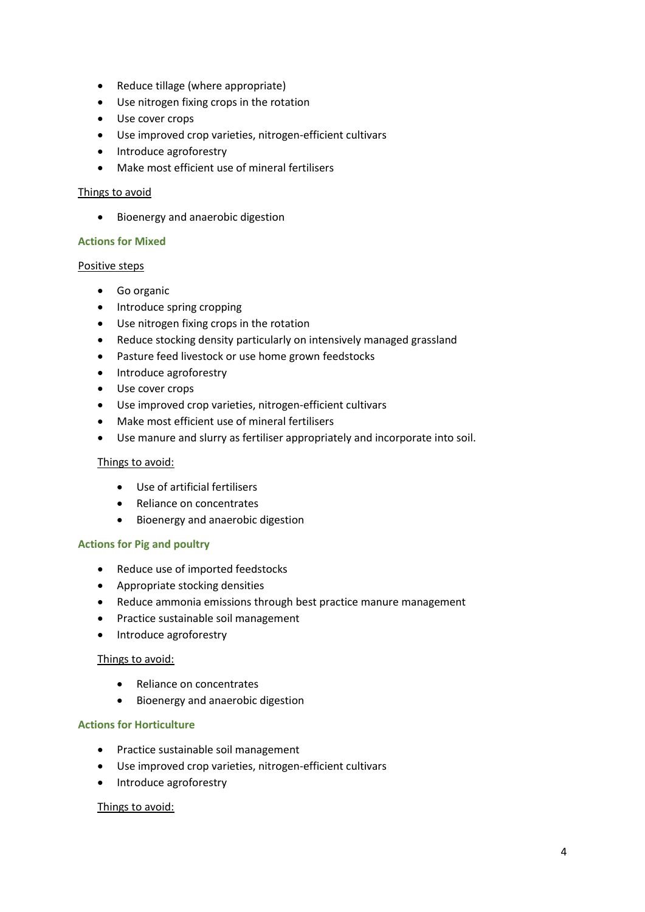- Reduce tillage (where appropriate)
- Use nitrogen fixing crops in the rotation
- Use cover crops
- Use improved crop varieties, nitrogen-efficient cultivars
- Introduce agroforestry
- Make most efficient use of mineral fertilisers

#### Things to avoid

• Bioenergy and anaerobic digestion

#### **Actions for Mixed**

#### Positive steps

- Go organic
- Introduce spring cropping
- Use nitrogen fixing crops in the rotation
- Reduce stocking density particularly on intensively managed grassland
- Pasture feed livestock or use home grown feedstocks
- Introduce agroforestry
- Use cover crops
- Use improved crop varieties, nitrogen-efficient cultivars
- Make most efficient use of mineral fertilisers
- Use manure and slurry as fertiliser appropriately and incorporate into soil.

#### Things to avoid:

- Use of artificial fertilisers
- Reliance on concentrates
- Bioenergy and anaerobic digestion

#### **Actions for Pig and poultry**

- Reduce use of imported feedstocks
- Appropriate stocking densities
- Reduce ammonia emissions through best practice manure management
- Practice sustainable soil management
- Introduce agroforestry

#### Things to avoid:

- Reliance on concentrates
- Bioenergy and anaerobic digestion

## **Actions for Horticulture**

- Practice sustainable soil management
- Use improved crop varieties, nitrogen-efficient cultivars
- Introduce agroforestry

#### Things to avoid: